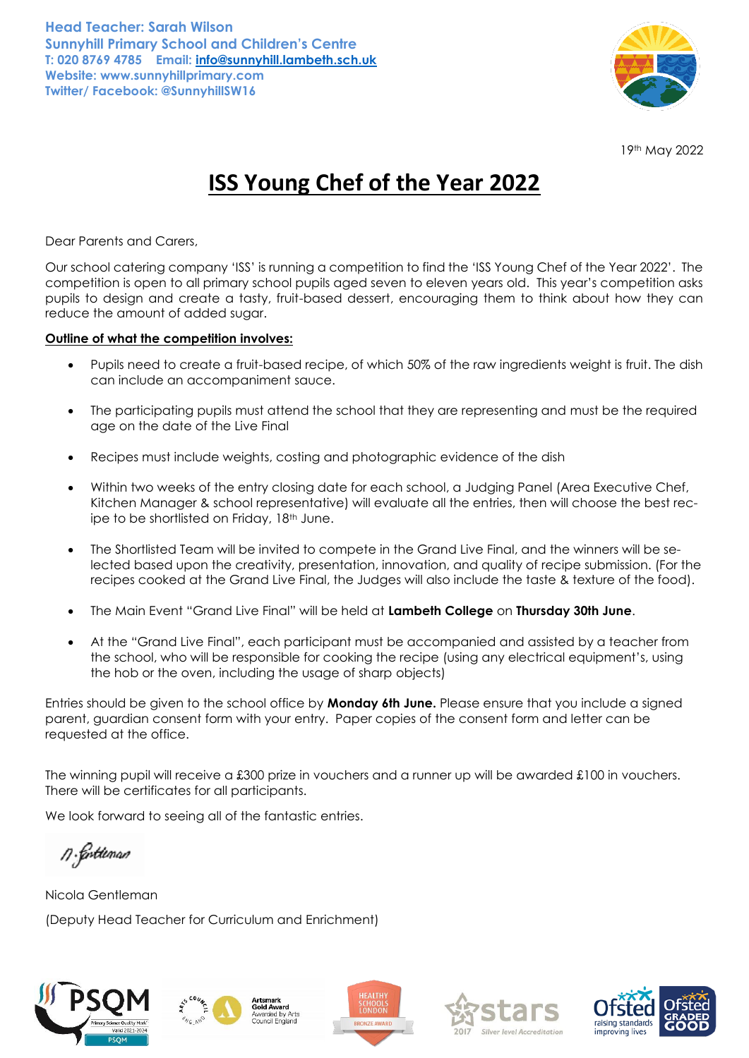

19th May 2022

## **ISS Young Chef of the Year 2022**

Dear Parents and Carers,

Our school catering company 'ISS' is running a competition to find the 'ISS Young Chef of the Year 2022'. The competition is open to all primary school pupils aged seven to eleven years old. This year's competition asks pupils to design and create a tasty, fruit-based dessert, encouraging them to think about how they can reduce the amount of added sugar.

## **Outline of what the competition involves:**

- Pupils need to create a fruit-based recipe, of which 50% of the raw ingredients weight is fruit. The dish can include an accompaniment sauce.
- The participating pupils must attend the school that they are representing and must be the required age on the date of the Live Final
- Recipes must include weights, costing and photographic evidence of the dish
- Within two weeks of the entry closing date for each school, a Judging Panel (Area Executive Chef, Kitchen Manager & school representative) will evaluate all the entries, then will choose the best recipe to be shortlisted on Friday, 18<sup>th</sup> June.
- The Shortlisted Team will be invited to compete in the Grand Live Final, and the winners will be selected based upon the creativity, presentation, innovation, and quality of recipe submission. (For the recipes cooked at the Grand Live Final, the Judges will also include the taste & texture of the food).
- The Main Event "Grand Live Final" will be held at **Lambeth College** on **Thursday 30th June**.
- At the "Grand Live Final", each participant must be accompanied and assisted by a teacher from the school, who will be responsible for cooking the recipe (using any electrical equipment's, using the hob or the oven, including the usage of sharp objects)

Entries should be given to the school office by **Monday 6th June.** Please ensure that you include a signed parent, guardian consent form with your entry. Paper copies of the consent form and letter can be requested at the office.

The winning pupil will receive a £300 prize in vouchers and a runner up will be awarded £100 in vouchers. There will be certificates for all participants.

We look forward to seeing all of the fantastic entries.

n Gottenan

Nicola Gentleman (Deputy Head Teacher for Curriculum and Enrichment)





Gold Award